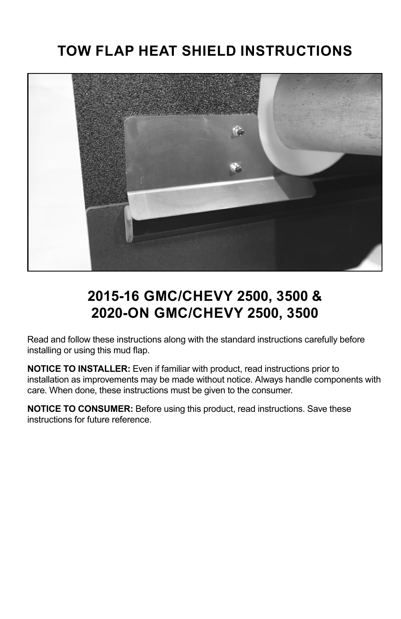#### **TOW FLAP HEAT SHIELD INSTRUCTIONS**



### **2015-16 GMC/CHEVY 2500, 3500 & 2020-ON GMC/CHEVY 2500, 3500**

Read and follow these instructions along with the standard instructions carefully before installing or using this mud flap.

**NOTICE TO INSTALLER:** Even if familiar with product, read instructions prior to installation as improvements may be made without notice. Always handle components with care. When done, these instructions must be given to the consumer.

**NOTICE TO CONSUMER:** Before using this product, read instructions. Save these instructions for future reference.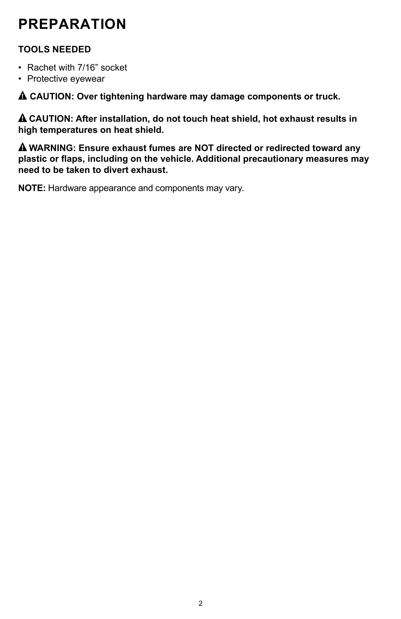# **PREPARATION**

#### **TOOLS NEEDED**

- Rachet with 7/16" socket
- Protective eyewear

! **CAUTION: Over tightening hardware may damage components or truck.**

! **CAUTION: After installation, do not touch heat shield, hot exhaust results in high temperatures on heat shield.** 

! **WARNING: Ensure exhaust fumes are NOT directed or redirected toward any plastic or flaps, including on the vehicle. Additional precautionary measures may need to be taken to divert exhaust.**

**NOTE:** Hardware appearance and components may vary.